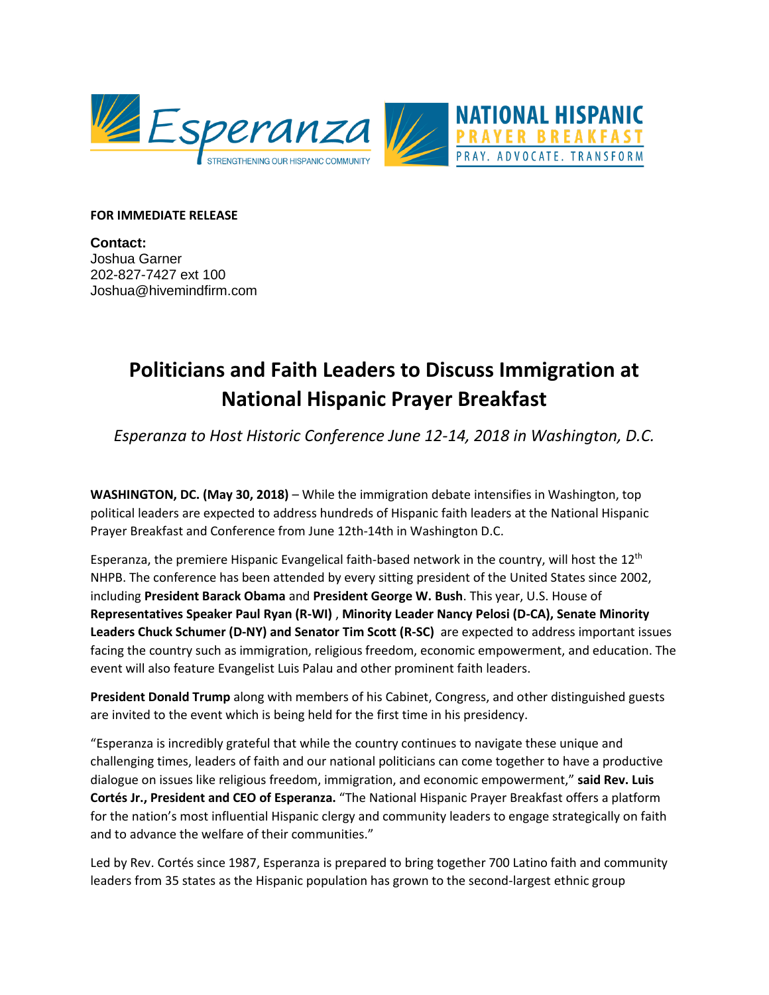

## **FOR IMMEDIATE RELEASE**

**Contact:** Joshua Garner 202-827-7427 ext 100 Joshua@hivemindfirm.com

## **Politicians and Faith Leaders to Discuss Immigration at National Hispanic Prayer Breakfast**

*Esperanza to Host Historic Conference June 12-14, 2018 in Washington, D.C.*

**WASHINGTON, DC. (May 30, 2018)** – While the immigration debate intensifies in Washington, top political leaders are expected to address hundreds of Hispanic faith leaders at the National Hispanic Prayer Breakfast and Conference from June 12th-14th in Washington D.C.

Esperanza, the premiere Hispanic Evangelical faith-based network in the country, will host the 12<sup>th</sup> NHPB. The conference has been attended by every sitting president of the United States since 2002, including **President Barack Obama** and **President George W. Bush**. This year, U.S. House of **Representatives Speaker Paul Ryan (R-WI)** , **Minority Leader Nancy Pelosi (D-CA), Senate Minority Leaders Chuck Schumer (D-NY) and Senator Tim Scott (R-SC)** are expected to address important issues facing the country such as immigration, religious freedom, economic empowerment, and education. The event will also feature Evangelist Luis Palau and other prominent faith leaders.

**President Donald Trump** along with members of his Cabinet, Congress, and other distinguished guests are invited to the event which is being held for the first time in his presidency.

"Esperanza is incredibly grateful that while the country continues to navigate these unique and challenging times, leaders of faith and our national politicians can come together to have a productive dialogue on issues like religious freedom, immigration, and economic empowerment," **said Rev. Luis Cortés Jr., President and CEO of Esperanza.** "The National Hispanic Prayer Breakfast offers a platform for the nation's most influential Hispanic clergy and community leaders to engage strategically on faith and to advance the welfare of their communities."

Led by Rev. Cortés since 1987, Esperanza is prepared to bring together 700 Latino faith and community leaders from 35 states as the Hispanic population has grown to the second-largest ethnic group